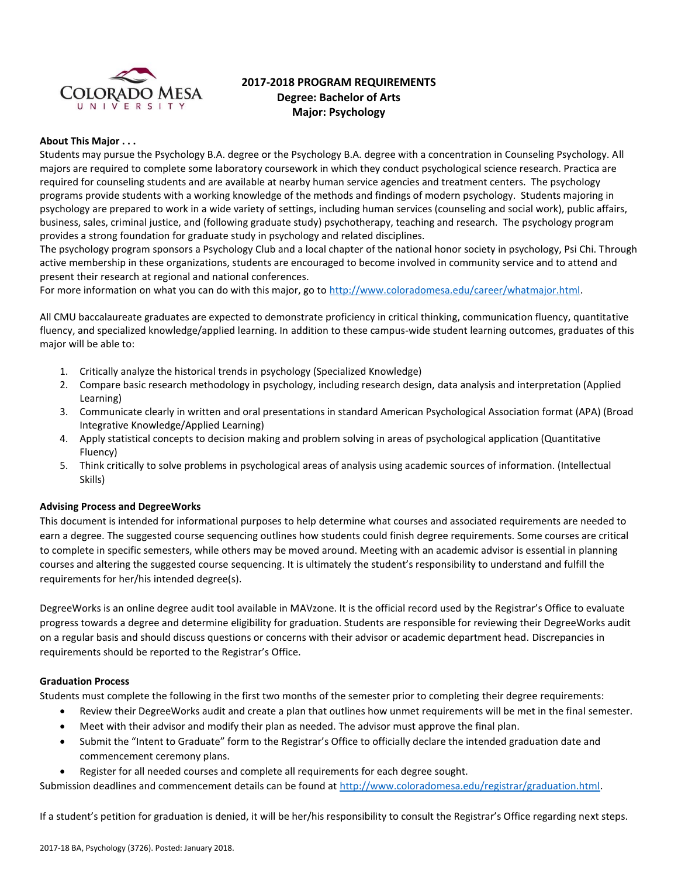

# **2017-2018 PROGRAM REQUIREMENTS Degree: Bachelor of Arts Major: Psychology**

#### **About This Major . . .**

Students may pursue the Psychology B.A. degree or the Psychology B.A. degree with a concentration in Counseling Psychology. All majors are required to complete some laboratory coursework in which they conduct psychological science research. Practica are required for counseling students and are available at nearby human service agencies and treatment centers. The psychology programs provide students with a working knowledge of the methods and findings of modern psychology. Students majoring in psychology are prepared to work in a wide variety of settings, including human services (counseling and social work), public affairs, business, sales, criminal justice, and (following graduate study) psychotherapy, teaching and research. The psychology program provides a strong foundation for graduate study in psychology and related disciplines.

The psychology program sponsors a Psychology Club and a local chapter of the national honor society in psychology, Psi Chi. Through active membership in these organizations, students are encouraged to become involved in community service and to attend and present their research at regional and national conferences.

For more information on what you can do with this major, go to [http://www.coloradomesa.edu/career/whatmajor.html.](http://www.coloradomesa.edu/career/whatmajor.html)

All CMU baccalaureate graduates are expected to demonstrate proficiency in critical thinking, communication fluency, quantitative fluency, and specialized knowledge/applied learning. In addition to these campus-wide student learning outcomes, graduates of this major will be able to:

- 1. Critically analyze the historical trends in psychology (Specialized Knowledge)
- 2. Compare basic research methodology in psychology, including research design, data analysis and interpretation (Applied Learning)
- 3. Communicate clearly in written and oral presentations in standard American Psychological Association format (APA) (Broad Integrative Knowledge/Applied Learning)
- 4. Apply statistical concepts to decision making and problem solving in areas of psychological application (Quantitative Fluency)
- 5. Think critically to solve problems in psychological areas of analysis using academic sources of information. (Intellectual Skills)

### **Advising Process and DegreeWorks**

This document is intended for informational purposes to help determine what courses and associated requirements are needed to earn a degree. The suggested course sequencing outlines how students could finish degree requirements. Some courses are critical to complete in specific semesters, while others may be moved around. Meeting with an academic advisor is essential in planning courses and altering the suggested course sequencing. It is ultimately the student's responsibility to understand and fulfill the requirements for her/his intended degree(s).

DegreeWorks is an online degree audit tool available in MAVzone. It is the official record used by the Registrar's Office to evaluate progress towards a degree and determine eligibility for graduation. Students are responsible for reviewing their DegreeWorks audit on a regular basis and should discuss questions or concerns with their advisor or academic department head. Discrepancies in requirements should be reported to the Registrar's Office.

#### **Graduation Process**

Students must complete the following in the first two months of the semester prior to completing their degree requirements:

- Review their DegreeWorks audit and create a plan that outlines how unmet requirements will be met in the final semester.
- Meet with their advisor and modify their plan as needed. The advisor must approve the final plan.
- Submit the "Intent to Graduate" form to the Registrar's Office to officially declare the intended graduation date and commencement ceremony plans.
- Register for all needed courses and complete all requirements for each degree sought.

Submission deadlines and commencement details can be found at [http://www.coloradomesa.edu/registrar/graduation.html.](http://www.coloradomesa.edu/registrar/graduation.html)

If a student's petition for graduation is denied, it will be her/his responsibility to consult the Registrar's Office regarding next steps.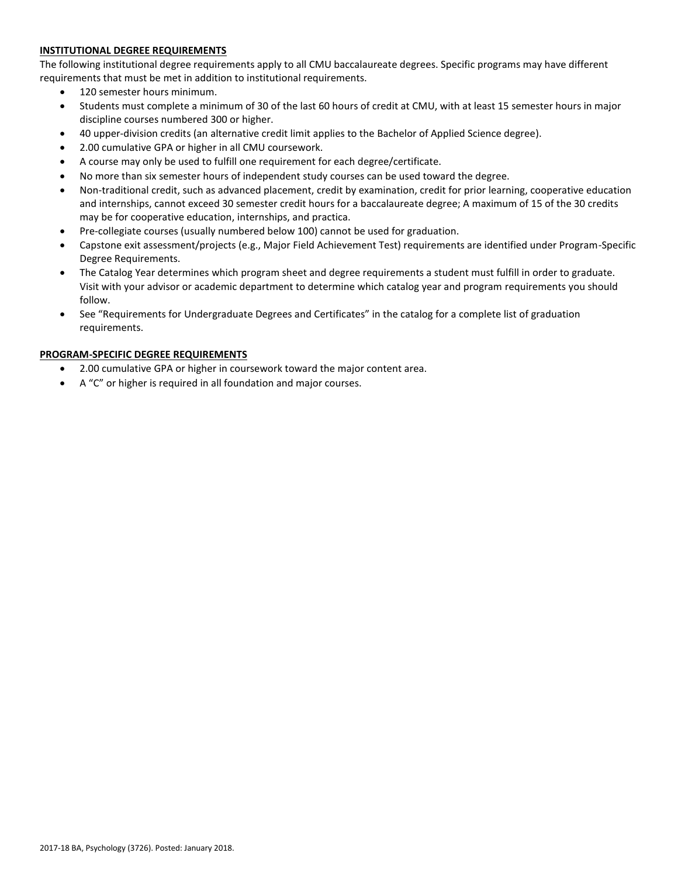# **INSTITUTIONAL DEGREE REQUIREMENTS**

The following institutional degree requirements apply to all CMU baccalaureate degrees. Specific programs may have different requirements that must be met in addition to institutional requirements.

- 120 semester hours minimum.
- Students must complete a minimum of 30 of the last 60 hours of credit at CMU, with at least 15 semester hours in major discipline courses numbered 300 or higher.
- 40 upper-division credits (an alternative credit limit applies to the Bachelor of Applied Science degree).
- 2.00 cumulative GPA or higher in all CMU coursework.
- A course may only be used to fulfill one requirement for each degree/certificate.
- No more than six semester hours of independent study courses can be used toward the degree.
- Non-traditional credit, such as advanced placement, credit by examination, credit for prior learning, cooperative education and internships, cannot exceed 30 semester credit hours for a baccalaureate degree; A maximum of 15 of the 30 credits may be for cooperative education, internships, and practica.
- Pre-collegiate courses (usually numbered below 100) cannot be used for graduation.
- Capstone exit assessment/projects (e.g., Major Field Achievement Test) requirements are identified under Program-Specific Degree Requirements.
- The Catalog Year determines which program sheet and degree requirements a student must fulfill in order to graduate. Visit with your advisor or academic department to determine which catalog year and program requirements you should follow.
- See "Requirements for Undergraduate Degrees and Certificates" in the catalog for a complete list of graduation requirements.

# **PROGRAM-SPECIFIC DEGREE REQUIREMENTS**

- 2.00 cumulative GPA or higher in coursework toward the major content area.
- A "C" or higher is required in all foundation and major courses.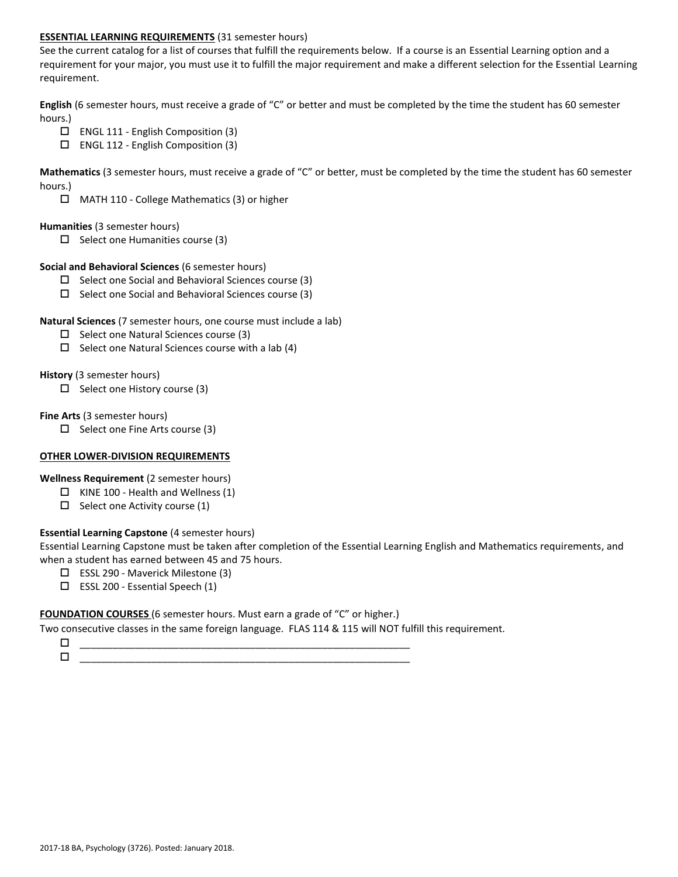### **ESSENTIAL LEARNING REQUIREMENTS** (31 semester hours)

See the current catalog for a list of courses that fulfill the requirements below. If a course is an Essential Learning option and a requirement for your major, you must use it to fulfill the major requirement and make a different selection for the Essential Learning requirement.

**English** (6 semester hours, must receive a grade of "C" or better and must be completed by the time the student has 60 semester hours.)

- $\Box$  ENGL 111 English Composition (3)
- ENGL 112 English Composition (3)

**Mathematics** (3 semester hours, must receive a grade of "C" or better, must be completed by the time the student has 60 semester hours.)

MATH 110 - College Mathematics (3) or higher

### **Humanities** (3 semester hours)

 $\Box$  Select one Humanities course (3)

### **Social and Behavioral Sciences** (6 semester hours)

- $\Box$  Select one Social and Behavioral Sciences course (3)
- $\square$  Select one Social and Behavioral Sciences course (3)

### **Natural Sciences** (7 semester hours, one course must include a lab)

- $\square$  Select one Natural Sciences course (3)
- $\Box$  Select one Natural Sciences course with a lab (4)

### **History** (3 semester hours)

 $\Box$  Select one History course (3)

### **Fine Arts** (3 semester hours)

 $\Box$  Select one Fine Arts course (3)

# **OTHER LOWER-DIVISION REQUIREMENTS**

**Wellness Requirement** (2 semester hours)

- $\Box$  KINE 100 Health and Wellness (1)
- $\Box$  Select one Activity course (1)

# **Essential Learning Capstone** (4 semester hours)

Essential Learning Capstone must be taken after completion of the Essential Learning English and Mathematics requirements, and when a student has earned between 45 and 75 hours.

- ESSL 290 Maverick Milestone (3)
- $\square$  ESSL 200 Essential Speech (1)

### **FOUNDATION COURSES** (6 semester hours. Must earn a grade of "C" or higher.)

Two consecutive classes in the same foreign language. FLAS 114 & 115 will NOT fulfill this requirement.

 \_\_\_\_\_\_\_\_\_\_\_\_\_\_\_\_\_\_\_\_\_\_\_\_\_\_\_\_\_\_\_\_\_\_\_\_\_\_\_\_\_\_\_\_\_\_\_\_\_\_\_\_\_\_\_\_\_\_\_\_ \_\_\_\_\_\_\_\_\_\_\_\_\_\_\_\_\_\_\_\_\_\_\_\_\_\_\_\_\_\_\_\_\_\_\_\_\_\_\_\_\_\_\_\_\_\_\_\_\_\_\_\_\_\_\_\_\_\_\_\_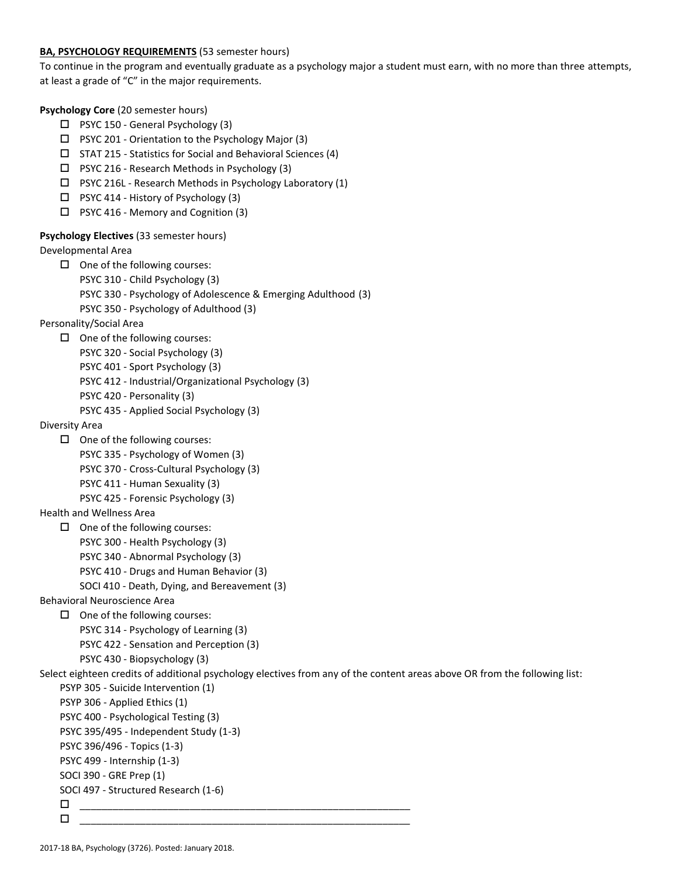### **BA, PSYCHOLOGY REQUIREMENTS** (53 semester hours)

To continue in the program and eventually graduate as a psychology major a student must earn, with no more than three attempts, at least a grade of "C" in the major requirements.

**Psychology Core** (20 semester hours)

- $\Box$  PSYC 150 General Psychology (3)
- PSYC 201 Orientation to the Psychology Major (3)
- $\square$  STAT 215 Statistics for Social and Behavioral Sciences (4)
- $\Box$  PSYC 216 Research Methods in Psychology (3)
- PSYC 216L Research Methods in Psychology Laboratory (1)
- □ PSYC 414 History of Psychology (3)
- $\Box$  PSYC 416 Memory and Cognition (3)

# **Psychology Electives** (33 semester hours)

Developmental Area

- $\Box$  One of the following courses:
	- PSYC 310 Child Psychology (3)
	- PSYC 330 Psychology of Adolescence & Emerging Adulthood (3)
	- PSYC 350 Psychology of Adulthood (3)

# Personality/Social Area

- $\Box$  One of the following courses:
	- PSYC 320 Social Psychology (3)
	- PSYC 401 Sport Psychology (3)
	- PSYC 412 Industrial/Organizational Psychology (3)
	- PSYC 420 Personality (3)
	- PSYC 435 Applied Social Psychology (3)

# Diversity Area

- $\Box$  One of the following courses:
	- PSYC 335 Psychology of Women (3)
	- PSYC 370 Cross-Cultural Psychology (3)
	- PSYC 411 Human Sexuality (3)
	- PSYC 425 Forensic Psychology (3)

# Health and Wellness Area

- $\Box$  One of the following courses:
	- PSYC 300 Health Psychology (3)
	- PSYC 340 Abnormal Psychology (3)
	- PSYC 410 Drugs and Human Behavior (3)
	- SOCI 410 Death, Dying, and Bereavement (3)
- Behavioral Neuroscience Area
	- $\Box$  One of the following courses:
		- PSYC 314 Psychology of Learning (3)
		- PSYC 422 Sensation and Perception (3)
		- PSYC 430 Biopsychology (3)
- Select eighteen credits of additional psychology electives from any of the content areas above OR from the following list:
	- PSYP 305 Suicide Intervention (1)
	- PSYP 306 Applied Ethics (1)
	- PSYC 400 Psychological Testing (3)
	- PSYC 395/495 Independent Study (1-3)
	- PSYC 396/496 Topics (1-3)
	- PSYC 499 Internship (1-3)
	- SOCI 390 GRE Prep (1)
	- SOCI 497 Structured Research (1-6)
	- \_\_\_\_\_\_\_\_\_\_\_\_\_\_\_\_\_\_\_\_\_\_\_\_\_\_\_\_\_\_\_\_\_\_\_\_\_\_\_\_\_\_\_\_\_\_\_\_\_\_\_\_\_\_\_\_\_\_\_\_ \_\_\_\_\_\_\_\_\_\_\_\_\_\_\_\_\_\_\_\_\_\_\_\_\_\_\_\_\_\_\_\_\_\_\_\_\_\_\_\_\_\_\_\_\_\_\_\_\_\_\_\_\_\_\_\_\_\_\_\_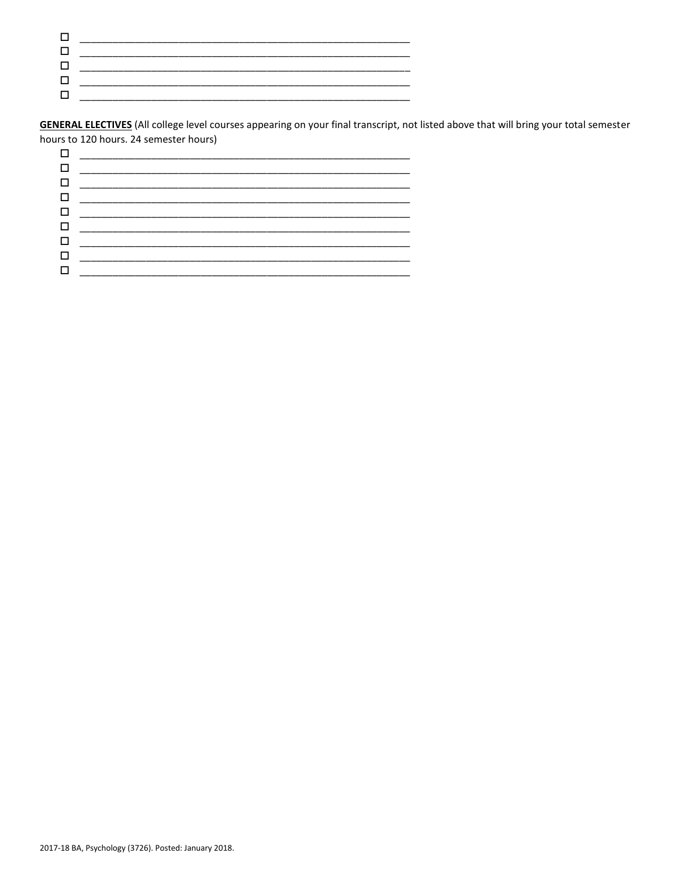**GENERAL ELECTIVES** (All college level courses appearing on your final transcript, not listed above that will bring your total semester hours to 120 hours. 24 semester hours)